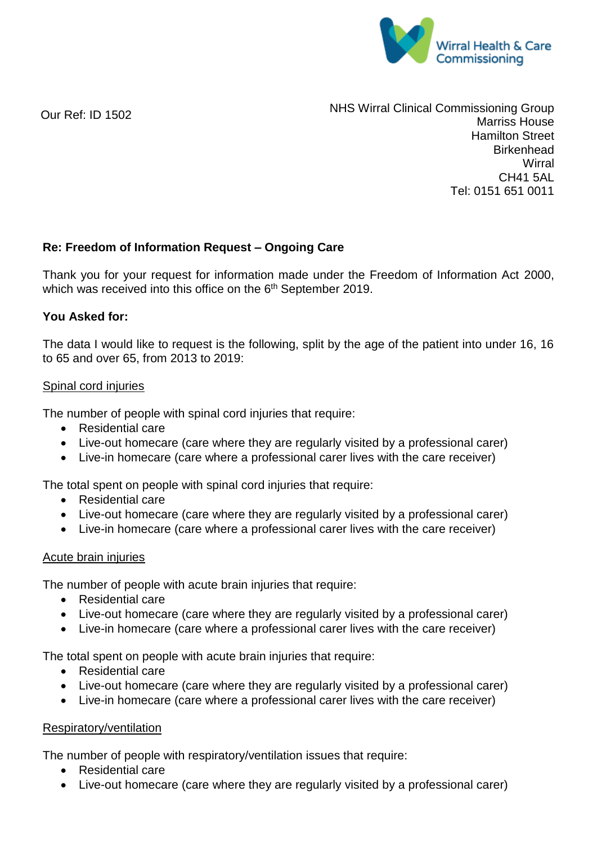

Our Ref: ID 1502

NHS Wirral Clinical Commissioning Group Marriss House Hamilton Street **Birkenhead Wirral** CH41 5AL Tel: 0151 651 0011

### **Re: Freedom of Information Request – Ongoing Care**

Thank you for your request for information made under the Freedom of Information Act 2000, which was received into this office on the 6<sup>th</sup> September 2019.

### **You Asked for:**

The data I would like to request is the following, split by the age of the patient into under 16, 16 to 65 and over 65, from 2013 to 2019:

### Spinal cord injuries

The number of people with spinal cord injuries that require:

- Residential care
- Live-out homecare (care where they are regularly visited by a professional carer)
- Live-in homecare (care where a professional carer lives with the care receiver)

The total spent on people with spinal cord injuries that require:

- Residential care
- Live-out homecare (care where they are regularly visited by a professional carer)
- Live-in homecare (care where a professional carer lives with the care receiver)

#### Acute brain injuries

The number of people with acute brain injuries that require:

- Residential care
- Live-out homecare (care where they are regularly visited by a professional carer)
- Live-in homecare (care where a professional carer lives with the care receiver)

The total spent on people with acute brain injuries that require:

- Residential care
- Live-out homecare (care where they are regularly visited by a professional carer)
- Live-in homecare (care where a professional carer lives with the care receiver)

#### Respiratory/ventilation

The number of people with respiratory/ventilation issues that require:

- Residential care
- Live-out homecare (care where they are regularly visited by a professional carer)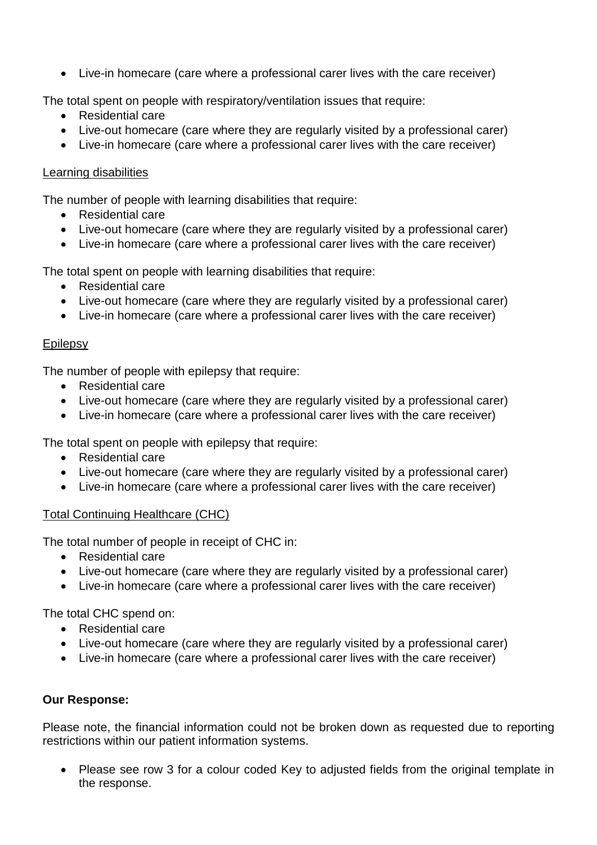Live-in homecare (care where a professional carer lives with the care receiver)

The total spent on people with respiratory/ventilation issues that require:

- Residential care
- Live-out homecare (care where they are regularly visited by a professional carer)
- Live-in homecare (care where a professional carer lives with the care receiver)

## Learning disabilities

The number of people with learning disabilities that require:

- Residential care
- Live-out homecare (care where they are regularly visited by a professional carer)
- Live-in homecare (care where a professional carer lives with the care receiver)

The total spent on people with learning disabilities that require:

- Residential care
- Live-out homecare (care where they are regularly visited by a professional carer)
- Live-in homecare (care where a professional carer lives with the care receiver)

## **Epilepsy**

The number of people with epilepsy that require:

- Residential care
- Live-out homecare (care where they are regularly visited by a professional carer)
- Live-in homecare (care where a professional carer lives with the care receiver)

The total spent on people with epilepsy that require:

- Residential care
- Live-out homecare (care where they are regularly visited by a professional carer)
- Live-in homecare (care where a professional carer lives with the care receiver)

## Total Continuing Healthcare (CHC)

The total number of people in receipt of CHC in:

- Residential care
- Live-out homecare (care where they are regularly visited by a professional carer)
- Live-in homecare (care where a professional carer lives with the care receiver)

The total CHC spend on:

- Residential care
- Live-out homecare (care where they are regularly visited by a professional carer)
- Live-in homecare (care where a professional carer lives with the care receiver)

# **Our Response:**

Please note, the financial information could not be broken down as requested due to reporting restrictions within our patient information systems.

• Please see row 3 for a colour coded Key to adjusted fields from the original template in the response.